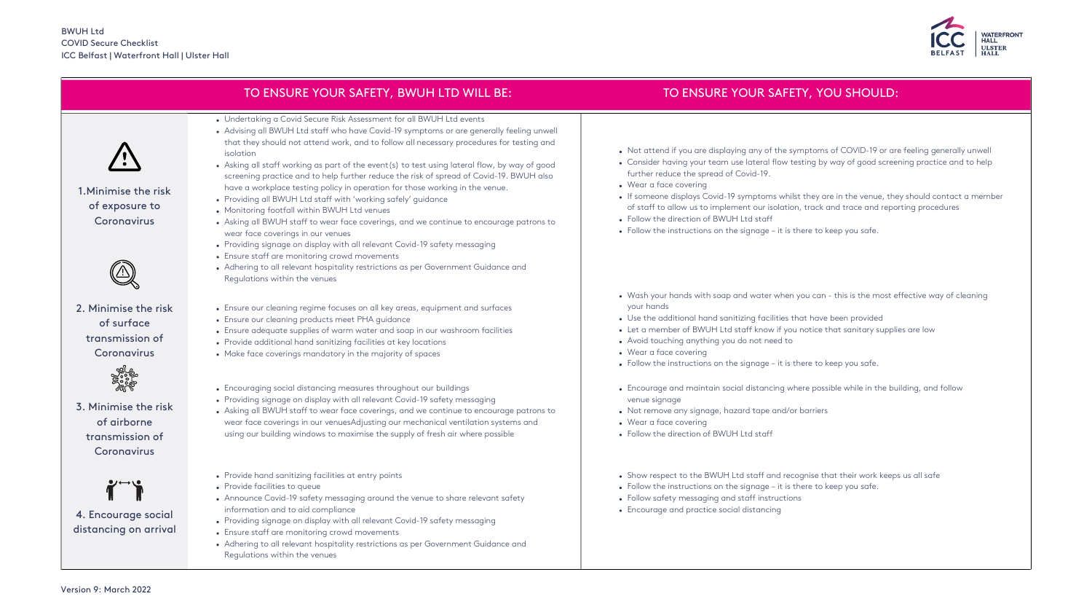|                                                                       | TO ENSURE YOUR SAFETY, BWUH LTD WILL BE:                                                                                                                                                                                                                                                                                                                                                                                                                                                                                                                                                                                                                                                                                                                                                                                                                                                                                                                                                                                                                     | TO                                                                                                                                                                |
|-----------------------------------------------------------------------|--------------------------------------------------------------------------------------------------------------------------------------------------------------------------------------------------------------------------------------------------------------------------------------------------------------------------------------------------------------------------------------------------------------------------------------------------------------------------------------------------------------------------------------------------------------------------------------------------------------------------------------------------------------------------------------------------------------------------------------------------------------------------------------------------------------------------------------------------------------------------------------------------------------------------------------------------------------------------------------------------------------------------------------------------------------|-------------------------------------------------------------------------------------------------------------------------------------------------------------------|
| 1. Minimise the risk<br>of exposure to<br>Coronavirus                 | • Undertaking a Covid Secure Risk Assessment for all BWUH Ltd events<br>• Advising all BWUH Ltd staff who have Covid-19 symptoms or are generally feeling unwell<br>that they should not attend work, and to follow all necessary procedures for testing and<br>isolation<br>• Asking all staff working as part of the event(s) to test using lateral flow, by way of good<br>screening practice and to help further reduce the risk of spread of Covid-19. BWUH also<br>have a workplace testing policy in operation for those working in the venue.<br>• Providing all BWUH Ltd staff with 'working safely' guidance<br>• Monitoring footfall within BWUH Ltd venues<br>• Asking all BWUH staff to wear face coverings, and we continue to encourage patrons to<br>wear face coverings in our venues<br>• Providing signage on display with all relevant Covid-19 safety messaging<br>• Ensure staff are monitoring crowd movements<br>• Adhering to all relevant hospitality restrictions as per Government Guidance and<br>Regulations within the venues | • Not attend if y<br>• Consider havin<br>further reduce<br>• Wear a face co<br>• If someone disp<br>of staff to allov<br>• Follow the dired<br>• Follow the instr |
| 2. Minimise the risk<br>of surface<br>transmission of<br>Coronavirus  | • Ensure our cleaning regime focuses on all key areas, equipment and surfaces<br>• Ensure our cleaning products meet PHA guidance<br>• Ensure adequate supplies of warm water and soap in our washroom facilities<br>• Provide additional hand sanitizing facilities at key locations<br>• Make face coverings mandatory in the majority of spaces                                                                                                                                                                                                                                                                                                                                                                                                                                                                                                                                                                                                                                                                                                           | • Wash your han<br>your hands<br>• Use the additic<br>• Let a member<br>• Avoid touching<br>• Wear a face co<br>• Follow the instr                                |
| 3. Minimise the risk<br>of airborne<br>transmission of<br>Coronavirus | • Encouraging social distancing measures throughout our buildings<br>• Providing signage on display with all relevant Covid-19 safety messaging<br>• Asking all BWUH staff to wear face coverings, and we continue to encourage patrons to<br>wear face coverings in our venuesAdjusting our mechanical ventilation systems and<br>using our building windows to maximise the supply of fresh air where possible                                                                                                                                                                                                                                                                                                                                                                                                                                                                                                                                                                                                                                             | • Encourage and<br>venue signage<br>• Not remove an<br>• Wear a face co<br>• Follow the dired                                                                     |
| 4. Encourage social<br>distancing on arrival                          | • Provide hand sanitizing facilities at entry points<br>• Provide facilities to queue<br>• Announce Covid-19 safety messaging around the venue to share relevant safety<br>information and to aid compliance<br>• Providing signage on display with all relevant Covid-19 safety messaging<br>• Ensure staff are monitoring crowd movements<br>• Adhering to all relevant hospitality restrictions as per Government Guidance and<br>Regulations within the venues                                                                                                                                                                                                                                                                                                                                                                                                                                                                                                                                                                                           | • Show respect to<br>• Follow the instr<br>• Follow safety m<br>• Encourage and                                                                                   |



## ENSURE YOUR SAFETY, YOU SHOULD:

- you are displaying any of the symptoms of COVID-19 or are feeling generally unwell  $\log$  your team use lateral flow testing by way of good screening practice and to help the spread of Covid-19.
- wering
- plays Covid-19 symptoms whilst they are in the venue, they should contact a member w us to implement our isolation, track and trace and reporting procedures ction of BWUH Ltd staff
- ructions on the signage it is there to keep you safe.
- ds with soap and water when you can this is the most effective way of cleaning
- onal hand sanitizing facilities that have been provided
- of BWUH Ltd staff know if you notice that sanitary supplies are low
- anything you do not need to
- wering
- ructions on the signage it is there to keep you safe.
- maintain social distancing where possible while in the building, and follow
- ny signage, hazard tape and/or barriers wering
- ction of BWUH Ltd staff
- to the BWUH Ltd staff and recognise that their work keeps us all safe
- ructions on the signage it is there to keep you safe.
- nessaging and staff instructions
- practice social distancing